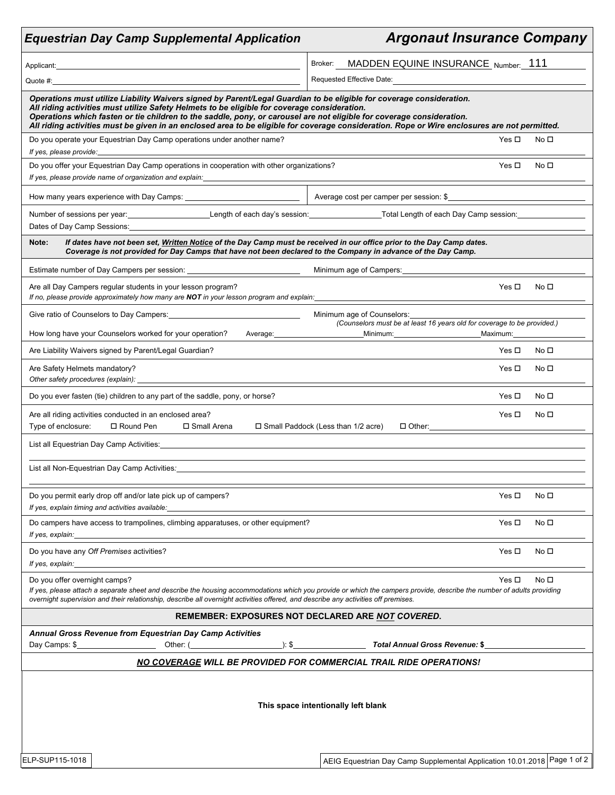|                                                              | <b>Equestrian Day Camp Supplemental Application</b>                                                                                                                                                                                                                                                                                           | <b>Argonaut Insurance Company</b>                                                                                                                                                                                       |                 |  |  |  |  |
|--------------------------------------------------------------|-----------------------------------------------------------------------------------------------------------------------------------------------------------------------------------------------------------------------------------------------------------------------------------------------------------------------------------------------|-------------------------------------------------------------------------------------------------------------------------------------------------------------------------------------------------------------------------|-----------------|--|--|--|--|
|                                                              |                                                                                                                                                                                                                                                                                                                                               | MADDEN EQUINE INSURANCE Number: 111<br>Broker:                                                                                                                                                                          |                 |  |  |  |  |
|                                                              |                                                                                                                                                                                                                                                                                                                                               | Requested Effective Date:                                                                                                                                                                                               |                 |  |  |  |  |
|                                                              | Operations must utilize Liability Waivers signed by Parent/Legal Guardian to be eligible for coverage consideration.<br>All riding activities must utilize Safety Helmets to be eligible for coverage consideration.<br>Operations which fasten or tie children to the saddle, pony, or carousel are not eligible for coverage consideration. | All riding activities must be given in an enclosed area to be eligible for coverage consideration. Rope or Wire enclosures are not permitted.                                                                           |                 |  |  |  |  |
| If yes, please provide:                                      | Do you operate your Equestrian Day Camp operations under another name?                                                                                                                                                                                                                                                                        | Yes $\Box$                                                                                                                                                                                                              | No □            |  |  |  |  |
|                                                              | Do you offer your Equestrian Day Camp operations in cooperation with other organizations?                                                                                                                                                                                                                                                     | Yes $\Box$                                                                                                                                                                                                              | No <sub>1</sub> |  |  |  |  |
|                                                              | If yes, please provide name of organization and explain:<br>The contract of the contract of the contract of the contract of the contract of the contract of the contract o                                                                                                                                                                    |                                                                                                                                                                                                                         |                 |  |  |  |  |
|                                                              |                                                                                                                                                                                                                                                                                                                                               |                                                                                                                                                                                                                         |                 |  |  |  |  |
| Dates of Day Camp Sessions:                                  | <u> 1989 - Johann Barn, amerikansk politiker (d. 1989)</u>                                                                                                                                                                                                                                                                                    | Number of sessions per year:<br>Length of each day's session:<br>Length of each Day Camp session:                                                                                                                       |                 |  |  |  |  |
| Note:                                                        | If dates have not been set, Written Notice of the Day Camp must be received in our office prior to the Day Camp dates.<br>Coverage is not provided for Day Camps that have not been declared to the Company in advance of the Day Camp.                                                                                                       |                                                                                                                                                                                                                         |                 |  |  |  |  |
|                                                              |                                                                                                                                                                                                                                                                                                                                               |                                                                                                                                                                                                                         |                 |  |  |  |  |
|                                                              | Are all Day Campers regular students in your lesson program?                                                                                                                                                                                                                                                                                  | Yes $\Box$<br>If no, please provide approximately how many are NOT in your lesson program and explain:<br>https://www.community.community.community.community.community.community.community.community.community.communi | No <sub>1</sub> |  |  |  |  |
|                                                              |                                                                                                                                                                                                                                                                                                                                               | Minimum age of Counselors: 1997                                                                                                                                                                                         |                 |  |  |  |  |
|                                                              | How long have your Counselors worked for your operation?<br>Average:                                                                                                                                                                                                                                                                          | (Counselors must be at least 16 years old for coverage to be provided.)<br>Maximum:                                                                                                                                     |                 |  |  |  |  |
|                                                              | Are Liability Waivers signed by Parent/Legal Guardian?                                                                                                                                                                                                                                                                                        | Yes □                                                                                                                                                                                                                   | No □            |  |  |  |  |
| Are Safety Helmets mandatory?                                |                                                                                                                                                                                                                                                                                                                                               | Yes $\Box$                                                                                                                                                                                                              | No □            |  |  |  |  |
|                                                              | Do you ever fasten (tie) children to any part of the saddle, pony, or horse?                                                                                                                                                                                                                                                                  | Yes $\Box$                                                                                                                                                                                                              | No <sub>1</sub> |  |  |  |  |
| Type of enclosure:                                           | Are all riding activities conducted in an enclosed area?<br>□ Round Pen<br>□ Small Arena                                                                                                                                                                                                                                                      | Yes □<br>$\Box$ Small Paddock (Less than 1/2 acre)<br>$\Box$ Other:                                                                                                                                                     | No <sub>1</sub> |  |  |  |  |
|                                                              |                                                                                                                                                                                                                                                                                                                                               |                                                                                                                                                                                                                         |                 |  |  |  |  |
|                                                              | List all Non-Equestrian Day Camp Activities:                                                                                                                                                                                                                                                                                                  |                                                                                                                                                                                                                         |                 |  |  |  |  |
| If yes, explain timing and activities available:             | Do you permit early drop off and/or late pick up of campers?                                                                                                                                                                                                                                                                                  | Yes $\Box$                                                                                                                                                                                                              | No <sub>1</sub> |  |  |  |  |
| If yes, explain:                                             | Do campers have access to trampolines, climbing apparatuses, or other equipment?<br><u> 1980 - Johann Barn, mars eta bainar eta bainar eta baina eta baina eta baina eta baina eta baina eta baina e</u>                                                                                                                                      | Yes $\Box$                                                                                                                                                                                                              | No $\square$    |  |  |  |  |
| Do you have any Off Premises activities?<br>If yes, explain: |                                                                                                                                                                                                                                                                                                                                               | Yes $\Box$                                                                                                                                                                                                              | No <sub>1</sub> |  |  |  |  |
| Do you offer overnight camps?                                | overnight supervision and their relationship, describe all overnight activities offered, and describe any activities off premises.                                                                                                                                                                                                            | Yes □<br>If yes, please attach a separate sheet and describe the housing accommodations which you provide or which the campers provide, describe the number of adults providing                                         | No <sub>1</sub> |  |  |  |  |
|                                                              |                                                                                                                                                                                                                                                                                                                                               | REMEMBER: EXPOSURES NOT DECLARED ARE NOT COVERED.                                                                                                                                                                       |                 |  |  |  |  |
| Day Camps: \$                                                | <b>Annual Gross Revenue from Equestrian Day Camp Activities</b><br>$\Rightarrow$ \$<br>Other: (and a series of the series of the series of the series of the series of the series of the series of the series of the series of the series of the series of the series of the series of the series of the series of th                         | Total Annual Gross Revenue: \$                                                                                                                                                                                          |                 |  |  |  |  |
|                                                              |                                                                                                                                                                                                                                                                                                                                               | <b>NO COVERAGE WILL BE PROVIDED FOR COMMERCIAL TRAIL RIDE OPERATIONS!</b>                                                                                                                                               |                 |  |  |  |  |
| This space intentionally left blank                          |                                                                                                                                                                                                                                                                                                                                               |                                                                                                                                                                                                                         |                 |  |  |  |  |
| ELP-SUP115-1018                                              |                                                                                                                                                                                                                                                                                                                                               | AEIG Equestrian Day Camp Supplemental Application 10.01.2018 Page 1 of 2                                                                                                                                                |                 |  |  |  |  |

┑

Г